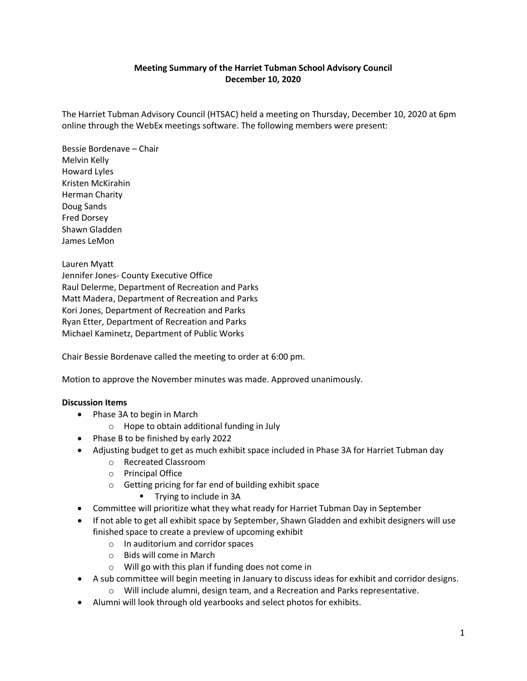## **Meeting Summary of the Harriet Tubman School Advisory Council December 10, 2020**

The Harriet Tubman Advisory Council (HTSAC) held a meeting on Thursday, December 10, 2020 at 6pm online through the WebEx meetings software. The following members were present:

Bessie Bordenave – Chair Melvin Kelly Howard Lyles Kristen McKirahin Herman Charity Doug Sands Fred Dorsey Shawn Gladden James LeMon

Lauren Myatt Jennifer Jones- County Executive Office Raul Delerme, Department of Recreation and Parks Matt Madera, Department of Recreation and Parks Kori Jones, Department of Recreation and Parks Ryan Etter, Department of Recreation and Parks Michael Kaminetz, Department of Public Works

Chair Bessie Bordenave called the meeting to order at 6:00 pm.

Motion to approve the November minutes was made. Approved unanimously.

## **Discussion Items**

- Phase 3A to begin in March
	- o Hope to obtain additional funding in July
- Phase B to be finished by early 2022
- Adjusting budget to get as much exhibit space included in Phase 3A for Harriet Tubman day
	- o Recreated Classroom
	- o Principal Office
	- o Getting pricing for far end of building exhibit space
		- **Trying to include in 3A**
- Committee will prioritize what they what ready for Harriet Tubman Day in September
- If not able to get all exhibit space by September, Shawn Gladden and exhibit designers will use finished space to create a preview of upcoming exhibit
	- o In auditorium and corridor spaces
	- o Bids will come in March
	- o Will go with this plan if funding does not come in
- A sub committee will begin meeting in January to discuss ideas for exhibit and corridor designs.
	- o Will include alumni, design team, and a Recreation and Parks representative.
- Alumni will look through old yearbooks and select photos for exhibits.